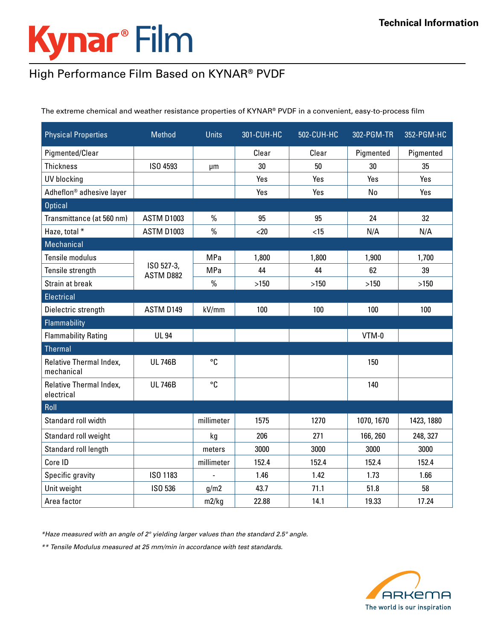## Kynar<sup>®</sup> Film

## High Performance Film Based on KYNAR® PVDF

The extreme chemical and weather resistance properties of KYNAR® PVDF in a convenient, easy-to-process film

| <b>Physical Properties</b>            | <b>Method</b>           | <b>Units</b>   | 301-CUH-HC | 502-CUH-HC | 302-PGM-TR | 352-PGM-HC |
|---------------------------------------|-------------------------|----------------|------------|------------|------------|------------|
| Pigmented/Clear                       |                         |                | Clear      | Clear      | Pigmented  | Pigmented  |
| <b>Thickness</b>                      | ISO 4593                | μm             | 30         | 50         | 30         | 35         |
| <b>UV blocking</b>                    |                         |                | Yes        | Yes        | Yes        | Yes        |
| Adheflon® adhesive layer              |                         |                | Yes        | Yes        | No         | Yes        |
| <b>Optical</b>                        |                         |                |            |            |            |            |
| Transmittance (at 560 nm)             | <b>ASTM D1003</b>       | %              | 95         | 95         | 24         | 32         |
| Haze, total *                         | <b>ASTM D1003</b>       | $\frac{0}{0}$  | $20$       | < 15       | N/A        | N/A        |
| <b>Mechanical</b>                     |                         |                |            |            |            |            |
| Tensile modulus                       | ISO 527-3,<br>ASTM D882 | <b>MPa</b>     | 1,800      | 1,800      | 1,900      | 1,700      |
| Tensile strength                      |                         | <b>MPa</b>     | 44         | 44         | 62         | 39         |
| Strain at break                       |                         | $\frac{0}{0}$  | $>150$     | >150       | $>150$     | >150       |
| Electrical                            |                         |                |            |            |            |            |
| Dielectric strength                   | ASTM D149               | kV/mm          | 100        | 100        | 100        | 100        |
| Flammability                          |                         |                |            |            |            |            |
| <b>Flammability Rating</b>            | <b>UL 94</b>            |                |            |            | VTM-0      |            |
| Thermal                               |                         |                |            |            |            |            |
| Relative Thermal Index,<br>mechanical | <b>UL746B</b>           | °C             |            |            | 150        |            |
| Relative Thermal Index,<br>electrical | <b>UL746B</b>           | °C             |            |            | 140        |            |
| Roll                                  |                         |                |            |            |            |            |
| Standard roll width                   |                         | millimeter     | 1575       | 1270       | 1070, 1670 | 1423, 1880 |
| Standard roll weight                  |                         | kg             | 206        | 271        | 166, 260   | 248, 327   |
| Standard roll length                  |                         | meters         | 3000       | 3000       | 3000       | 3000       |
| Core ID                               |                         | millimeter     | 152.4      | 152.4      | 152.4      | 152.4      |
| Specific gravity                      | ISO 1183                | $\blacksquare$ | 1.46       | 1.42       | 1.73       | 1.66       |
| Unit weight                           | ISO 536                 | g/m2           | 43.7       | 71.1       | 51.8       | 58         |
| Area factor                           |                         | m2/kg          | 22.88      | 14.1       | 19.33      | 17.24      |

*\*Haze measured with an angle of 2° yielding larger values than the standard 2.5° angle.*

*\*\* Tensile Modulus measured at 25 mm/min in accordance with test standards.*